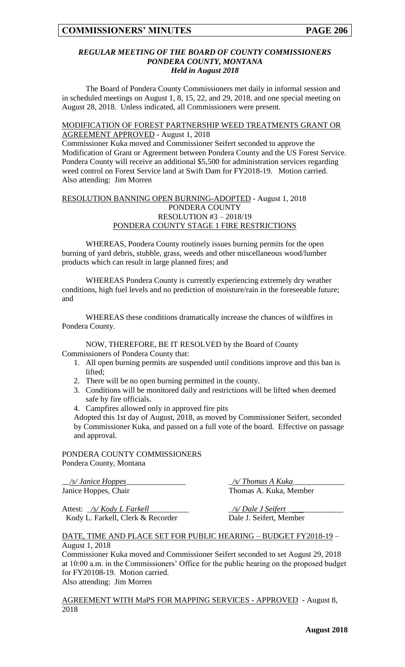#### *REGULAR MEETING OF THE BOARD OF COUNTY COMMISSIONERS PONDERA COUNTY, MONTANA Held in August 2018*

The Board of Pondera County Commissioners met daily in informal session and in scheduled meetings on August 1, 8, 15, 22, and 29, 2018, and one special meeting on August 28, 2018. Unless indicated, all Commissioners were present.

#### MODIFICATION OF FOREST PARTNERSHIP WEED TREATMENTS GRANT OR AGREEMENT APPROVED - August 1, 2018

Commissioner Kuka moved and Commissioner Seifert seconded to approve the Modification of Grant or Agreement between Pondera County and the US Forest Service. Pondera County will receive an additional \$5,500 for administration services regarding weed control on Forest Service land at Swift Dam for FY2018-19. Motion carried. Also attending: Jim Morren

## RESOLUTION BANNING OPEN BURNING-ADOPTED - August 1, 2018 PONDERA COUNTY RESOLUTION #3 – 2018/19 PONDERA COUNTY STAGE 1 FIRE RESTRICTIONS

WHEREAS, Pondera County routinely issues burning permits for the open burning of yard debris, stubble, grass, weeds and other miscellaneous wood/lumber products which can result in large planned fires; and

WHEREAS Pondera County is currently experiencing extremely dry weather conditions, high fuel levels and no prediction of moisture/rain in the foreseeable future; and

WHEREAS these conditions dramatically increase the chances of wildfires in Pondera County.

NOW, THEREFORE, BE IT RESOLVED by the Board of County Commissioners of Pondera County that:

- 1. All open burning permits are suspended until conditions improve and this ban is lifted;
- 2. There will be no open burning permitted in the county.
- 3. Conditions will be monitored daily and restrictions will be lifted when deemed safe by fire officials.
- 4. Campfires allowed only in approved fire pits

Adopted this 1st day of August, 2018, as moved by Commissioner Seifert, seconded by Commissioner Kuka, and passed on a full vote of the board. Effective on passage and approval.

## PONDERA COUNTY COMMISSIONERS Pondera County, Montana

\_\_*/s/ Janice Hoppes*\_\_\_\_\_\_\_\_\_\_\_\_\_\_\_ \_*/s/ Thomas A Kuka*\_\_\_\_\_\_\_\_\_\_\_\_\_ Janice Hoppes, Chair Thomas A. Kuka, Member

Attest: \_*/s/ Kody L Farkell*\_\_\_\_\_\_\_\_\_\_ \_*/s/ Dale J Seifert* \_\_\_\_\_\_\_\_\_\_\_\_\_\_ Kody L. Farkell, Clerk & Recorder Dale J. Seifert, Member

#### DATE, TIME AND PLACE SET FOR PUBLIC HEARING – BUDGET FY2018-19 – August 1, 2018

Commissioner Kuka moved and Commissioner Seifert seconded to set August 29, 2018 at 10:00 a.m. in the Commissioners' Office for the public hearing on the proposed budget for FY20108-19. Motion carried.

Also attending: Jim Morren

AGREEMENT WITH MaPS FOR MAPPING SERVICES - APPROVED - August 8, 2018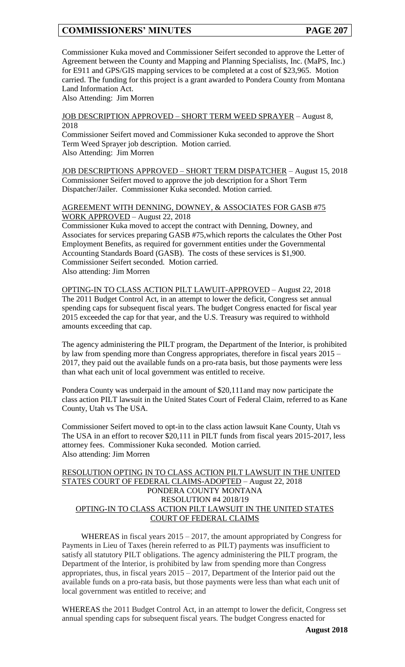Commissioner Kuka moved and Commissioner Seifert seconded to approve the Letter of Agreement between the County and Mapping and Planning Specialists, Inc. (MaPS, Inc.) for E911 and GPS/GIS mapping services to be completed at a cost of \$23,965. Motion carried. The funding for this project is a grant awarded to Pondera County from Montana Land Information Act.

Also Attending: Jim Morren

#### JOB DESCRIPTION APPROVED – SHORT TERM WEED SPRAYER – August 8, 2018

Commissioner Seifert moved and Commissioner Kuka seconded to approve the Short Term Weed Sprayer job description. Motion carried. Also Attending: Jim Morren

JOB DESCRIPTIONS APPROVED – SHORT TERM DISPATCHER – August 15, 2018 Commissioner Seifert moved to approve the job description for a Short Term Dispatcher/Jailer. Commissioner Kuka seconded. Motion carried.

AGREEMENT WITH DENNING, DOWNEY, & ASSOCIATES FOR GASB #75 WORK APPROVED – August 22, 2018

Commissioner Kuka moved to accept the contract with Denning, Downey, and Associates for services preparing GASB #75,which reports the calculates the Other Post Employment Benefits, as required for government entities under the Governmental Accounting Standards Board (GASB). The costs of these services is \$1,900. Commissioner Seifert seconded. Motion carried. Also attending: Jim Morren

OPTING-IN TO CLASS ACTION PILT LAWUIT-APPROVED – August 22, 2018 The 2011 Budget Control Act, in an attempt to lower the deficit, Congress set annual spending caps for subsequent fiscal years. The budget Congress enacted for fiscal year 2015 exceeded the cap for that year, and the U.S. Treasury was required to withhold amounts exceeding that cap.

The agency administering the PILT program, the Department of the Interior, is prohibited by law from spending more than Congress appropriates, therefore in fiscal years 2015 – 2017, they paid out the available funds on a pro-rata basis, but those payments were less than what each unit of local government was entitled to receive.

Pondera County was underpaid in the amount of \$20,111and may now participate the class action PILT lawsuit in the United States Court of Federal Claim, referred to as Kane County, Utah vs The USA.

Commissioner Seifert moved to opt-in to the class action lawsuit Kane County, Utah vs The USA in an effort to recover \$20,111 in PILT funds from fiscal years 2015-2017, less attorney fees. Commissioner Kuka seconded. Motion carried. Also attending: Jim Morren

#### RESOLUTION OPTING IN TO CLASS ACTION PILT LAWSUIT IN THE UNITED STATES COURT OF FEDERAL CLAIMS-ADOPTED – August 22, 2018 PONDERA COUNTY MONTANA RESOLUTION #4 2018/19 OPTING-IN TO CLASS ACTION PILT LAWSUIT IN THE UNITED STATES COURT OF FEDERAL CLAIMS

WHEREAS in fiscal years 2015 – 2017, the amount appropriated by Congress for Payments in Lieu of Taxes (herein referred to as PILT) payments was insufficient to satisfy all statutory PILT obligations. The agency administering the PILT program, the Department of the Interior, is prohibited by law from spending more than Congress appropriates, thus, in fiscal years  $2015 - 2017$ , Department of the Interior paid out the available funds on a pro-rata basis, but those payments were less than what each unit of local government was entitled to receive; and

WHEREAS the 2011 Budget Control Act, in an attempt to lower the deficit, Congress set annual spending caps for subsequent fiscal years. The budget Congress enacted for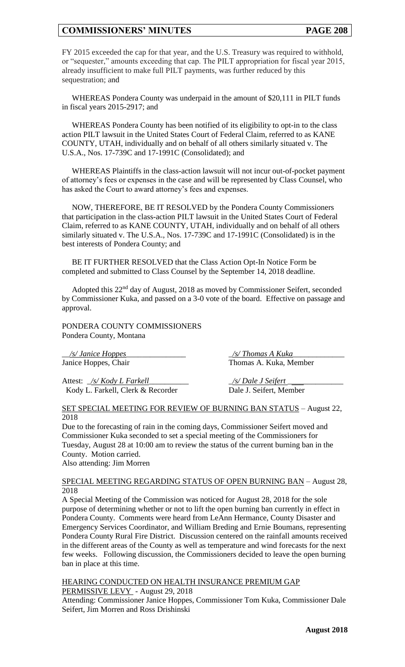FY 2015 exceeded the cap for that year, and the U.S. Treasury was required to withhold, or "sequester," amounts exceeding that cap. The PILT appropriation for fiscal year 2015, already insufficient to make full PILT payments, was further reduced by this sequestration; and

WHEREAS Pondera County was underpaid in the amount of \$20,111 in PILT funds in fiscal years 2015-2917; and

WHEREAS Pondera County has been notified of its eligibility to opt-in to the class action PILT lawsuit in the United States Court of Federal Claim, referred to as KANE COUNTY, UTAH, individually and on behalf of all others similarly situated v. The U.S.A., Nos. 17-739C and 17-1991C (Consolidated); and

WHEREAS Plaintiffs in the class-action lawsuit will not incur out-of-pocket payment of attorney's fees or expenses in the case and will be represented by Class Counsel, who has asked the Court to award attorney's fees and expenses.

NOW, THEREFORE, BE IT RESOLVED by the Pondera County Commissioners that participation in the class-action PILT lawsuit in the United States Court of Federal Claim, referred to as KANE COUNTY, UTAH, individually and on behalf of all others similarly situated v. The U.S.A., Nos. 17-739C and 17-1991C (Consolidated) is in the best interests of Pondera County; and

BE IT FURTHER RESOLVED that the Class Action Opt-In Notice Form be completed and submitted to Class Counsel by the September 14, 2018 deadline.

Adopted this 22nd day of August, 2018 as moved by Commissioner Seifert, seconded by Commissioner Kuka, and passed on a 3-0 vote of the board. Effective on passage and approval.

PONDERA COUNTY COMMISSIONERS Pondera County, Montana

\_\_*/s/ Janice Hoppes*\_\_\_\_\_\_\_\_\_\_\_\_\_\_\_ \_*/s/ Thomas A Kuka*\_\_\_\_\_\_\_\_\_\_\_\_\_

Attest: <u>\_/s/ Kody L Farkell</u> \_\_\_\_\_\_\_\_\_\_\_\_\_\_\_\_\_\_\_\_\_\_\_ <u>\_/s/ Dale J Seifert</u> Kody L. Farkell, Clerk & Recorder Dale J. Seifert, Member

Janice Hoppes, Chair Thomas A. Kuka, Member

## SET SPECIAL MEETING FOR REVIEW OF BURNING BAN STATUS - August 22, 2018

Due to the forecasting of rain in the coming days, Commissioner Seifert moved and Commissioner Kuka seconded to set a special meeting of the Commissioners for Tuesday, August 28 at 10:00 am to review the status of the current burning ban in the County. Motion carried.

Also attending: Jim Morren

#### SPECIAL MEETING REGARDING STATUS OF OPEN BURNING BAN – August 28, 2018

A Special Meeting of the Commission was noticed for August 28, 2018 for the sole purpose of determining whether or not to lift the open burning ban currently in effect in Pondera County. Comments were heard from LeAnn Hermance, County Disaster and Emergency Services Coordinator, and William Breding and Ernie Boumans, representing Pondera County Rural Fire District. Discussion centered on the rainfall amounts received in the different areas of the County as well as temperature and wind forecasts for the next few weeks. Following discussion, the Commissioners decided to leave the open burning ban in place at this time.

HEARING CONDUCTED ON HEALTH INSURANCE PREMIUM GAP PERMISSIVE LEVY - August 29, 2018

Attending: Commissioner Janice Hoppes, Commissioner Tom Kuka, Commissioner Dale Seifert, Jim Morren and Ross Drishinski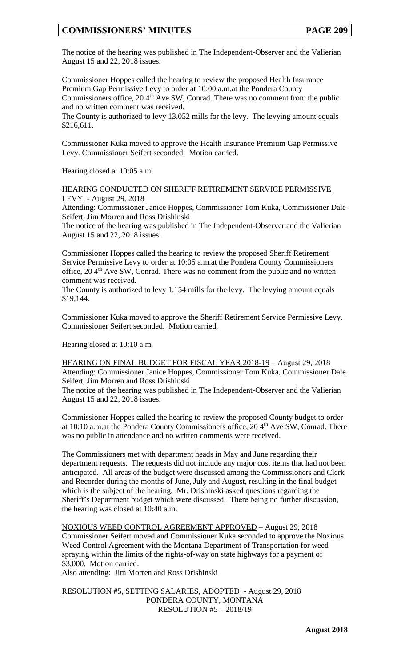The notice of the hearing was published in The Independent-Observer and the Valierian August 15 and 22, 2018 issues.

Commissioner Hoppes called the hearing to review the proposed Health Insurance Premium Gap Permissive Levy to order at 10:00 a.m.at the Pondera County Commissioners office, 20 4<sup>th</sup> Ave SW, Conrad. There was no comment from the public and no written comment was received.

The County is authorized to levy 13.052 mills for the levy. The levying amount equals \$216,611.

Commissioner Kuka moved to approve the Health Insurance Premium Gap Permissive Levy. Commissioner Seifert seconded. Motion carried.

Hearing closed at 10:05 a.m.

HEARING CONDUCTED ON SHERIFF RETIREMENT SERVICE PERMISSIVE LEVY - August 29, 2018

Attending: Commissioner Janice Hoppes, Commissioner Tom Kuka, Commissioner Dale Seifert, Jim Morren and Ross Drishinski

The notice of the hearing was published in The Independent-Observer and the Valierian August 15 and 22, 2018 issues.

Commissioner Hoppes called the hearing to review the proposed Sheriff Retirement Service Permissive Levy to order at 10:05 a.m.at the Pondera County Commissioners office,  $20.4<sup>th</sup>$  Ave SW, Conrad. There was no comment from the public and no written comment was received.

The County is authorized to levy 1.154 mills for the levy. The levying amount equals \$19,144.

Commissioner Kuka moved to approve the Sheriff Retirement Service Permissive Levy. Commissioner Seifert seconded. Motion carried.

Hearing closed at 10:10 a.m.

HEARING ON FINAL BUDGET FOR FISCAL YEAR 2018-19 – August 29, 2018 Attending: Commissioner Janice Hoppes, Commissioner Tom Kuka, Commissioner Dale Seifert, Jim Morren and Ross Drishinski

The notice of the hearing was published in The Independent-Observer and the Valierian August 15 and 22, 2018 issues.

Commissioner Hoppes called the hearing to review the proposed County budget to order at 10:10 a.m.at the Pondera County Commissioners office,  $20\,4^{\text{th}}$  Ave SW, Conrad. There was no public in attendance and no written comments were received.

The Commissioners met with department heads in May and June regarding their department requests. The requests did not include any major cost items that had not been anticipated. All areas of the budget were discussed among the Commissioners and Clerk and Recorder during the months of June, July and August, resulting in the final budget which is the subject of the hearing. Mr. Drishinski asked questions regarding the Sheriff's Department budget which were discussed. There being no further discussion, the hearing was closed at 10:40 a.m.

NOXIOUS WEED CONTROL AGREEMENT APPROVED – August 29, 2018 Commissioner Seifert moved and Commissioner Kuka seconded to approve the Noxious Weed Control Agreement with the Montana Department of Transportation for weed spraying within the limits of the rights-of-way on state highways for a payment of \$3,000. Motion carried.

Also attending: Jim Morren and Ross Drishinski

RESOLUTION #5, SETTING SALARIES, ADOPTED - August 29, 2018 PONDERA COUNTY, MONTANA RESOLUTION #5 – 2018/19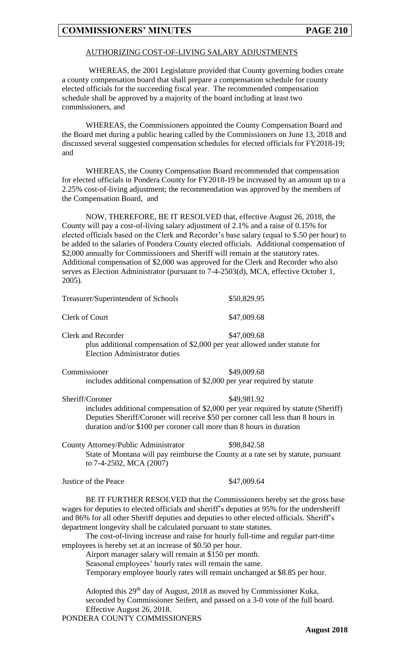## AUTHORIZING COST-OF-LIVING SALARY ADJUSTMENTS

WHEREAS, the 2001 Legislature provided that County governing bodies create a county compensation board that shall prepare a compensation schedule for county elected officials for the succeeding fiscal year. The recommended compensation schedule shall be approved by a majority of the board including at least two commissioners, and

WHEREAS, the Commissioners appointed the County Compensation Board and the Board met during a public hearing called by the Commissioners on June 13, 2018 and discussed several suggested compensation schedules for elected officials for FY2018-19; and

WHEREAS, the County Compensation Board recommended that compensation for elected officials in Pondera County for FY2018-19 be increased by an amount up to a 2.25% cost-of-living adjustment; the recommendation was approved by the members of the Compensation Board, and

NOW, THEREFORE, BE IT RESOLVED that, effective August 26, 2018, the County will pay a cost-of-living salary adjustment of 2.1% and a raise of 0.15% for elected officials based on the Clerk and Recorder's base salary (equal to \$.50 per hour) to be added to the salaries of Pondera County elected officials. Additional compensation of \$2,000 annually for Commissioners and Sheriff will remain at the statutory rates. Additional compensation of \$2,000 was approved for the Clerk and Recorder who also serves as Election Administrator (pursuant to 7-4-2503(d), MCA, effective October 1, 2005).

| Treasurer/Superintendent of Schools                                                                                                                                                                                                                                                                                                                                                                                                               | \$50,829.95                                                                                                                                                                                                                              |
|---------------------------------------------------------------------------------------------------------------------------------------------------------------------------------------------------------------------------------------------------------------------------------------------------------------------------------------------------------------------------------------------------------------------------------------------------|------------------------------------------------------------------------------------------------------------------------------------------------------------------------------------------------------------------------------------------|
| Clerk of Court                                                                                                                                                                                                                                                                                                                                                                                                                                    | \$47,009.68                                                                                                                                                                                                                              |
| <b>Clerk and Recorder</b><br><b>Election Administrator duties</b>                                                                                                                                                                                                                                                                                                                                                                                 | \$47,009.68<br>plus additional compensation of \$2,000 per year allowed under statute for                                                                                                                                                |
| Commissioner<br>includes additional compensation of \$2,000 per year required by statute                                                                                                                                                                                                                                                                                                                                                          | \$49,009.68                                                                                                                                                                                                                              |
| Sheriff/Coroner<br>duration and/or \$100 per coroner call more than 8 hours in duration                                                                                                                                                                                                                                                                                                                                                           | \$49,981.92<br>includes additional compensation of \$2,000 per year required by statute (Sheriff)<br>Deputies Sheriff/Coroner will receive \$50 per coroner call less than 8 hours in                                                    |
| County Attorney/Public Administrator<br>to 7-4-2502, MCA (2007)                                                                                                                                                                                                                                                                                                                                                                                   | \$98,842.58<br>State of Montana will pay reimburse the County at a rate set by statute, pursuant                                                                                                                                         |
| Justice of the Peace                                                                                                                                                                                                                                                                                                                                                                                                                              | \$47,009.64                                                                                                                                                                                                                              |
| wages for deputies to elected officials and sheriff's deputies at 95% for the undersheriff<br>and 86% for all other Sheriff deputies and deputies to other elected officials. Sheriff's<br>department longevity shall be calculated pursuant to state statutes.<br>employees is hereby set at an increase of \$0.50 per hour.<br>Airport manager salary will remain at \$150 per month.<br>Seasonal employees' hourly rates will remain the same. | BE IT FURTHER RESOLVED that the Commissioners hereby set the gross base<br>The cost-of-living increase and raise for hourly full-time and regular part-time<br>Temporary employee hourly rates will remain unchanged at \$8.85 per hour. |
| Adopted this 29 <sup>th</sup> day of August, 2018 as moved by Commissioner Kuka,<br>Effective August 26, 2018.<br>PONDERA COUNTY COMMISSIONERS                                                                                                                                                                                                                                                                                                    | seconded by Commissioner Seifert, and passed on a 3-0 vote of the full board.<br>$\sqrt{2010}$                                                                                                                                           |
|                                                                                                                                                                                                                                                                                                                                                                                                                                                   |                                                                                                                                                                                                                                          |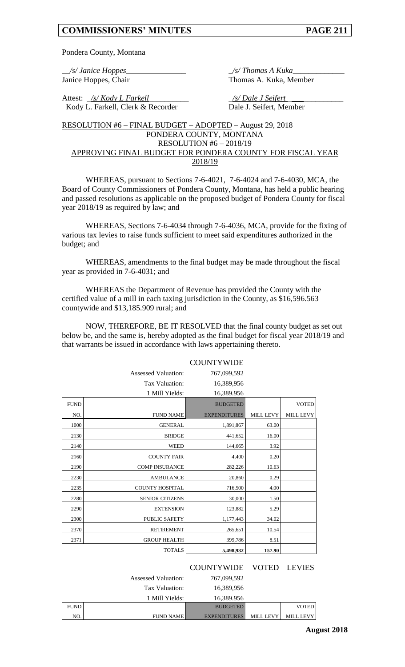Pondera County, Montana

Janice Hoppes, Chair Thomas A. Kuka, Member

\_\_*/s/ Janice Hoppes*\_\_\_\_\_\_\_\_\_\_\_\_\_\_\_ \_*/s/ Thomas A Kuka*\_\_\_\_\_\_\_\_\_\_\_\_\_

Attest: <u>\_/s/ Kody L Farkell</u> \_\_\_\_\_\_\_\_\_\_\_\_\_\_\_ \_\_\_\_\_ <u>/s/ Dale J Seifert</u> Kody L. Farkell, Clerk & Recorder Dale J. Seifert, Member

#### RESOLUTION #6 – FINAL BUDGET – ADOPTED – August 29, 2018 PONDERA COUNTY, MONTANA RESOLUTION #6 – 2018/19 APPROVING FINAL BUDGET FOR PONDERA COUNTY FOR FISCAL YEAR 2018/19

WHEREAS, pursuant to Sections 7-6-4021, 7-6-4024 and 7-6-4030, MCA, the Board of County Commissioners of Pondera County, Montana, has held a public hearing and passed resolutions as applicable on the proposed budget of Pondera County for fiscal year 2018/19 as required by law; and

WHEREAS, Sections 7-6-4034 through 7-6-4036, MCA, provide for the fixing of various tax levies to raise funds sufficient to meet said expenditures authorized in the budget; and

WHEREAS, amendments to the final budget may be made throughout the fiscal year as provided in 7-6-4031; and

WHEREAS the Department of Revenue has provided the County with the certified value of a mill in each taxing jurisdiction in the County, as \$16,596.563 countywide and \$13,185.909 rural; and

NOW, THEREFORE, BE IT RESOLVED that the final county budget as set out below be, and the same is, hereby adopted as the final budget for fiscal year 2018/19 and that warrants be issued in accordance with laws appertaining thereto.

|             | <b>Assessed Valuation:</b> | 767,099,592         |                  |                  |
|-------------|----------------------------|---------------------|------------------|------------------|
|             | Tax Valuation:             | 16,389,956          |                  |                  |
|             | 1 Mill Yields:             | 16,389.956          |                  |                  |
| <b>FUND</b> |                            | <b>BUDGETED</b>     |                  | <b>VOTED</b>     |
| NO.         | <b>FUND NAME</b>           | <b>EXPENDITURES</b> | <b>MILL LEVY</b> | <b>MILL LEVY</b> |
| 1000        | <b>GENERAL</b>             | 1,891,867           | 63.00            |                  |
| 2130        | <b>BRIDGE</b>              | 441,652             | 16.00            |                  |
| 2140        | <b>WEED</b>                | 144,665             | 3.92             |                  |
| 2160        | <b>COUNTY FAIR</b>         | 4,400               | 0.20             |                  |
| 2190        | <b>COMP INSURANCE</b>      | 282,226             | 10.63            |                  |
| 2230        | <b>AMBULANCE</b>           | 20,860              | 0.29             |                  |
| 2235        | <b>COUNTY HOSPITAL</b>     | 716,500             | 4.00             |                  |
| 2280        | <b>SENIOR CITIZENS</b>     | 30,000              | 1.50             |                  |
| 2290        | <b>EXTENSION</b>           | 123,882             | 5.29             |                  |
| 2300        | <b>PUBLIC SAFETY</b>       | 1,177,443           | 34.02            |                  |
| 2370        | <b>RETIREMENT</b>          | 265,651             | 10.54            |                  |
| 2371        | <b>GROUP HEALTH</b>        | 399,786             | 8.51             |                  |
|             | <b>TOTALS</b>              | 5,498,932           | 157.90           |                  |

|             |                            | COUNTYWIDE VOTED LEVIES |                  |              |
|-------------|----------------------------|-------------------------|------------------|--------------|
|             | <b>Assessed Valuation:</b> | 767,099,592             |                  |              |
|             | Tax Valuation:             | 16,389,956              |                  |              |
|             | 1 Mill Yields:             | 16,389.956              |                  |              |
| <b>FUND</b> |                            | <b>BUDGETED</b>         |                  | <b>VOTED</b> |
| NO.         | <b>FUND NAME</b>           | <b>EXPENDITURES</b>     | <b>MILL LEVY</b> | MILL LEVY    |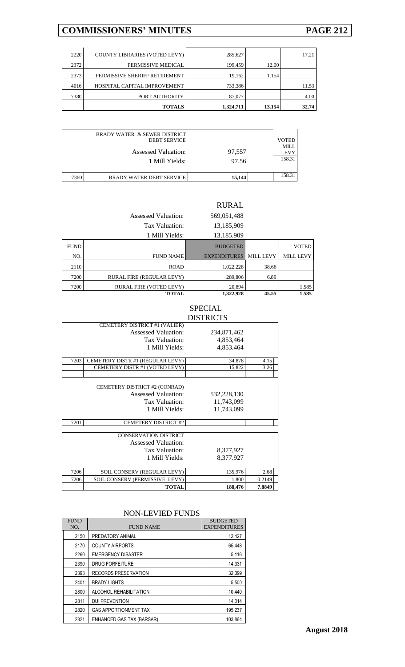|      | <b>TOTALS</b>                        | 1,324,711 | 13.154 | 32.74 |
|------|--------------------------------------|-----------|--------|-------|
| 7380 | PORT AUTHORITY                       | 87,077    |        | 4.00  |
| 4016 | HOSPITAL CAPITAL IMPROVEMENT         | 733,386   |        | 11.53 |
| 2373 | PERMISSIVE SHERIFF RETIREMENT        | 19,162    | 1.154  |       |
| 2372 | PERMISSIVE MEDICAL                   | 199,459   | 12.00  |       |
| 2220 | <b>COUNTY LIBRARIES (VOTED LEVY)</b> | 285,627   |        | 17.21 |

|      | <b>BRADY WATER &amp; SEWER DISTRICT</b><br><b>DEBT SERVICE</b><br><b>Assessed Valuation:</b><br>1 Mill Yields: | 97,557<br>97.56 | <b>VOTED</b><br>MILL<br><b>LEVY</b><br>158.31 |
|------|----------------------------------------------------------------------------------------------------------------|-----------------|-----------------------------------------------|
| 7360 | <b>BRADY WATER DEBT SERVICE</b>                                                                                | 15.144          | 158.31                                        |

## RURAL

|             | <b>Assessed Valuation:</b>       | 569,051,488         |                  |                  |
|-------------|----------------------------------|---------------------|------------------|------------------|
|             | Tax Valuation:                   | 13,185,909          |                  |                  |
|             | 1 Mill Yields:                   | 13,185.909          |                  |                  |
| <b>FUND</b> |                                  | <b>BUDGETED</b>     |                  | <b>VOTED</b>     |
| NO.         | <b>FUND NAME</b>                 | <b>EXPENDITURES</b> | <b>MILL LEVY</b> | <b>MILL LEVY</b> |
| 2110        | <b>ROAD</b>                      | 1,022,228           | 38.66            |                  |
| 7200        | <b>RURAL FIRE (REGULAR LEVY)</b> | 289,806             | 6.89             |                  |
| 7200        | RURAL FIRE (VOTED LEVY)          | 20,894              |                  | 1.585            |
|             | <b>TOTAL</b>                     | 1,322,928           | 45.55            | 1.585            |

## SPECIAL DISTRICTS

|      | CEMETERY DISTRICT #1 (VALIER)<br><b>Assessed Valuation:</b><br>Tax Valuation:<br>1 Mill Yields: | 234,871,462<br>4,853,464<br>4,853.464 |      |
|------|-------------------------------------------------------------------------------------------------|---------------------------------------|------|
| 7203 | CEMETERY DISTR #1 (REGULAR LEVY)                                                                | 34,878                                | 4.15 |
|      | CEMETERY DISTR #1 (VOTED LEVY)                                                                  | 15.822                                | 3.26 |
|      |                                                                                                 |                                       |      |

|        |             | CEMETERY DISTRICT #2 (CONRAD)  |      |
|--------|-------------|--------------------------------|------|
|        | 532,228,130 | <b>Assessed Valuation:</b>     |      |
|        | 11,743,099  | Tax Valuation:                 |      |
|        | 11,743.099  | 1 Mill Yields:                 |      |
|        |             | <b>CEMETERY DISTRICT #2</b>    | 7201 |
|        |             | <b>CONSERVATION DISTRICT</b>   |      |
|        |             | Assessed Valuation:            |      |
|        | 8,377,927   | Tax Valuation:                 |      |
|        | 8,377.927   | 1 Mill Yields:                 |      |
| 2.68   | 135,976     | SOIL CONSERV (REGULAR LEVY)    | 7206 |
| 0.2149 | 1,800       | SOIL CONSERV (PERMISSIVE LEVY) | 7206 |
| 7.8849 | 188,476     | <b>TOTAL</b>                   |      |

#### NON-LEVIED FUNDS

| <b>FUND</b><br>NO. | <b>FUND NAME</b>             | <b>BUDGETED</b><br><b>EXPENDITURES</b> |
|--------------------|------------------------------|----------------------------------------|
| 2150               | PREDATORY ANIMAL             | 12,427                                 |
| 2170               | <b>COUNTY AIRPORTS</b>       | 65.448                                 |
| 2260               | <b>EMERGENCY DISASTER</b>    | 5,116                                  |
| 2390               | <b>DRUG FORFEITURE</b>       | 14.331                                 |
| 2393               | RECORDS PRESERVATION         | 32,399                                 |
| 2401               | <b>BRADY LIGHTS</b>          | 5,500                                  |
| 2800               | ALCOHOL REHABILITATION       | 10.440                                 |
| 2811               | <b>DUI PREVENTION</b>        | 14,014                                 |
| 2820               | <b>GAS APPORTIONMENT TAX</b> | 195,237                                |
| 2821               | ENHANCED GAS TAX (BARSAR)    | 103.864                                |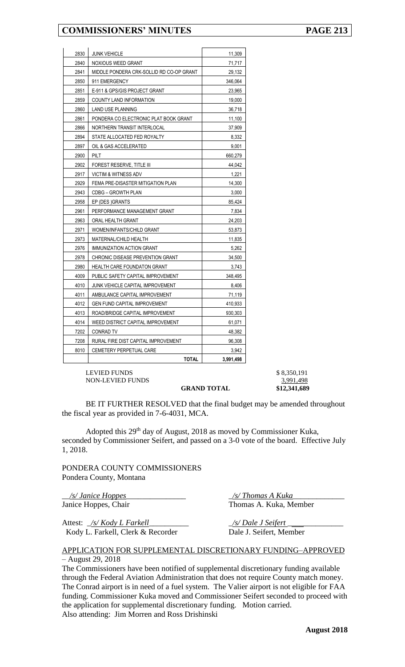| 2830 | <b>JUNK VEHICLE</b>                      | 11,309    |
|------|------------------------------------------|-----------|
| 2840 | <b>NOXIOUS WEED GRANT</b>                | 71,717    |
| 2841 | MIDDLE PONDERA CRK-SOLLID RD CO-OP GRANT | 29,132    |
| 2850 | 911 EMERGENCY                            | 346,064   |
| 2851 | E-911 & GPS/GIS PROJECT GRANT            | 23,965    |
| 2859 | COUNTY LAND INFORMATION                  | 19,000    |
| 2860 | LAND USE PLANNING                        | 36,718    |
| 2861 | PONDERA CO ELECTRONIC PLAT BOOK GRANT    | 11,100    |
| 2866 | NORTHERN TRANSIT INTERLOCAL              | 37,909    |
| 2894 | STATE ALLOCATED FED ROYALTY              | 8,332     |
| 2897 | OIL & GAS ACCELERATED                    | 9,001     |
| 2900 | <b>PILT</b>                              | 660,279   |
| 2902 | FOREST RESERVE, TITLE III                | 44,042    |
| 2917 | <b>VICTIM &amp; WITNESS ADV</b>          | 1,221     |
| 2929 | FEMA PRE-DISASTER MITIGATION PLAN        | 14,300    |
| 2943 | CDBG - GROWTH PLAN                       | 3,000     |
| 2958 | EP (DES) GRANTS                          | 85,424    |
| 2961 | PERFORMANCE MANAGEMENT GRANT             | 7,834     |
| 2963 | ORAL HEALTH GRANT                        | 24,203    |
| 2971 | WOMEN/INFANTS/CHILD GRANT                | 53,873    |
| 2973 | MATERNAL/CHILD HEALTH                    | 11,835    |
| 2976 | IMMUNIZATION ACTION GRANT                | 5,262     |
| 2978 | CHRONIC DISEASE PREVENTION GRANT         | 34,500    |
| 2980 | <b>HEALTH CARE FOUNDATON GRANT</b>       | 3,743     |
| 4009 | PUBLIC SAFETY CAPITAL IMPROVEMENT        | 348,495   |
| 4010 | JUNK VEHICLE CAPITAL IMPROVEMENT         | 8,406     |
| 4011 | AMBULANCE CAPITAL IMPROVEMENT            | 71,119    |
| 4012 | <b>GEN FUND CAPITAL IMPROVEMENT</b>      | 410,933   |
| 4013 | ROAD/BRIDGE CAPITAL IMPROVEMENT          | 930,303   |
| 4014 | WEED DISTRICT CAPITAL IMPROVEMENT        | 61,071    |
| 7202 | <b>CONRAD TV</b>                         | 48,382    |
| 7208 | RURAL FIRE DIST CAPITAL IMPROVEMENT      | 96,308    |
| 8010 | <b>CEMETERY PERPETUAL CARE</b>           | 3,942     |
|      | <b>TOTAL</b>                             | 3.991.498 |

LEVIED FUNDS  $$8,350,191$ NON-LEVIED FUNDS 3,991,498

**GRAND TOTAL \$12,341,689**

BE IT FURTHER RESOLVED that the final budget may be amended throughout the fiscal year as provided in 7-6-4031, MCA.

Adopted this  $29<sup>th</sup>$  day of August, 2018 as moved by Commissioner Kuka, seconded by Commissioner Seifert, and passed on a 3-0 vote of the board. Effective July 1, 2018.

PONDERA COUNTY COMMISSIONERS Pondera County, Montana

\_\_*/s/ Janice Hoppes*\_\_\_\_\_\_\_\_\_\_\_\_\_\_\_ \_*/s/ Thomas A Kuka*\_\_\_\_\_\_\_\_\_\_\_\_\_ Janice Hoppes, Chair Thomas A. Kuka, Member

Attest: \_*/s/ Kody L Farkell*\_\_\_\_\_\_\_\_\_\_ \_*/s/ Dale J Seifert* \_\_\_\_\_\_\_\_\_\_\_\_\_\_ Kody L. Farkell, Clerk & Recorder Dale J. Seifert, Member

## APPLICATION FOR SUPPLEMENTAL DISCRETIONARY FUNDING–APPROVED – August 29, 2018

The Commissioners have been notified of supplemental discretionary funding available through the Federal Aviation Administration that does not require County match money. The Conrad airport is in need of a fuel system. The Valier airport is not eligible for FAA funding. Commissioner Kuka moved and Commissioner Seifert seconded to proceed with the application for supplemental discretionary funding. Motion carried. Also attending: Jim Morren and Ross Drishinski